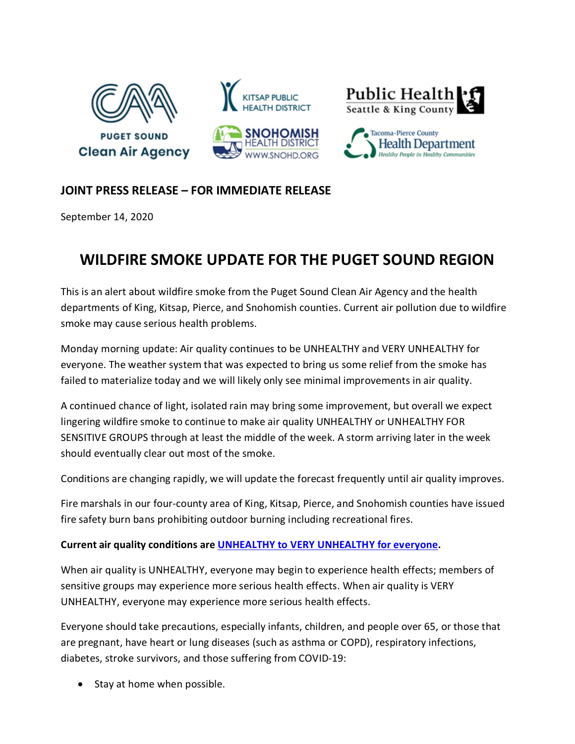

## **JOINT PRESS RELEASE – FOR IMMEDIATE RELEASE**

September 14, 2020

## **WILDFIRE SMOKE UPDATE FOR THE PUGET SOUND REGION**

This is an alert about wildfire smoke from the Puget Sound Clean Air Agency and the health departments of King, Kitsap, Pierce, and Snohomish counties. Current air pollution due to wildfire smoke may cause serious health problems.

Monday morning update: Air quality continues to be UNHEALTHY and VERY UNHEALTHY for everyone. The weather system that was expected to bring us some relief from the smoke has failed to materialize today and we will likely only see minimal improvements in air quality.

A continued chance of light, isolated rain may bring some improvement, but overall we expect lingering wildfire smoke to continue to make air quality UNHEALTHY or UNHEALTHY FOR SENSITIVE GROUPS through at least the middle of the week. A storm arriving later in the week should eventually clear out most of the smoke.

Conditions are changing rapidly, we will update the forecast frequently until air quality improves.

Fire marshals in our four-county area of King, Kitsap, Pierce, and Snohomish counties have issued fire safety burn bans prohibiting outdoor burning including recreational fires.

## **Current air quality conditions are [UNHEALTHY to VERY UNHEALTHY for everyone.](https://www.pscleanair.gov/165/About-the-Air-Quality-Index)**

When air quality is UNHEALTHY, everyone may begin to experience health effects; members of sensitive groups may experience more serious health effects. When air quality is VERY UNHEALTHY, everyone may experience more serious health effects.

Everyone should take precautions, especially infants, children, and people over 65, or those that are pregnant, have heart or lung diseases (such as asthma or COPD), respiratory infections, diabetes, stroke survivors, and those suffering from COVID-19:

• Stay at home when possible.